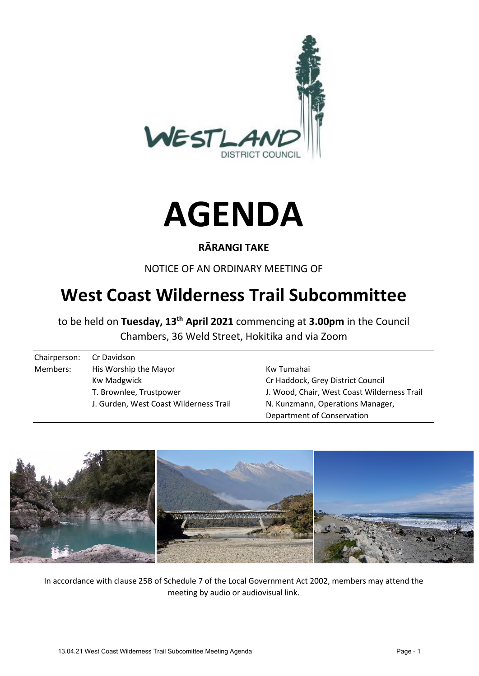



### **RĀRANGI TAKE**

NOTICE OF AN ORDINARY MEETING OF

# **West Coast Wilderness Trail Subcommittee**

to be held on **Tuesday, 13th April 2021** commencing at **3.00pm** in the Council Chambers, 36 Weld Street, Hokitika and via Zoom

| Chairperson: | Cr Davidson                            |                                             |
|--------------|----------------------------------------|---------------------------------------------|
| Members:     | His Worship the Mayor                  | Kw Tumahai                                  |
|              | <b>Kw Madgwick</b>                     | Cr Haddock, Grey District Council           |
|              | T. Brownlee, Trustpower                | J. Wood, Chair, West Coast Wilderness Trail |
|              | J. Gurden, West Coast Wilderness Trail | N. Kunzmann, Operations Manager,            |
|              |                                        | Department of Conservation                  |



In accordance with clause 25B of Schedule 7 of the Local Government Act 2002, members may attend the meeting by audio or audiovisual link.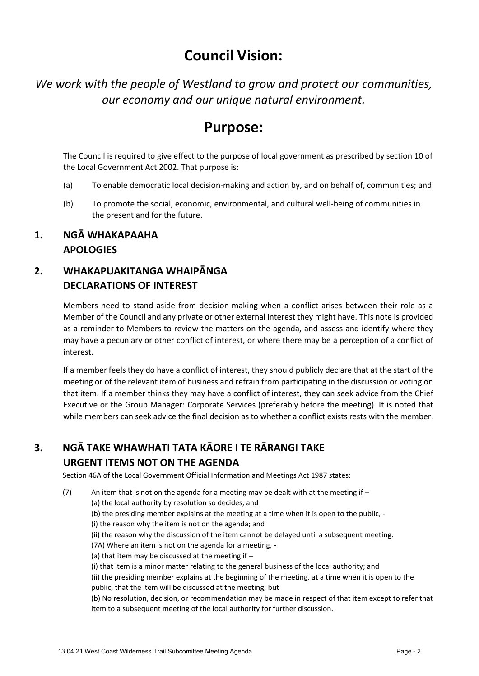# **Council Vision:**

*We work with the people of Westland to grow and protect our communities, our economy and our unique natural environment.* 

## **Purpose:**

The Council is required to give effect to the purpose of local government as prescribed by section 10 of the Local Government Act 2002. That purpose is:

- (a) To enable democratic local decision-making and action by, and on behalf of, communities; and
- (b) To promote the social, economic, environmental, and cultural well-being of communities in the present and for the future.

#### **1. NGĀ WHAKAPAAHA APOLOGIES**

### **2. WHAKAPUAKITANGA WHAIPĀNGA DECLARATIONS OF INTEREST**

Members need to stand aside from decision-making when a conflict arises between their role as a Member of the Council and any private or other external interest they might have. This note is provided as a reminder to Members to review the matters on the agenda, and assess and identify where they may have a pecuniary or other conflict of interest, or where there may be a perception of a conflict of interest.

If a member feels they do have a conflict of interest, they should publicly declare that at the start of the meeting or of the relevant item of business and refrain from participating in the discussion or voting on that item. If a member thinks they may have a conflict of interest, they can seek advice from the Chief Executive or the Group Manager: Corporate Services (preferably before the meeting). It is noted that while members can seek advice the final decision as to whether a conflict exists rests with the member.

# **3. NGĀ TAKE WHAWHATI TATA KĀORE I TE RĀRANGI TAKE**

#### **URGENT ITEMS NOT ON THE AGENDA**

Section 46A of the Local Government Official Information and Meetings Act 1987 states:

- (7) An item that is not on the agenda for a meeting may be dealt with at the meeting if  $-$ 
	- (a) the local authority by resolution so decides, and
		- (b) the presiding member explains at the meeting at a time when it is open to the public, -
	- (i) the reason why the item is not on the agenda; and
	- (ii) the reason why the discussion of the item cannot be delayed until a subsequent meeting.
	- (7A) Where an item is not on the agenda for a meeting, -
	- (a) that item may be discussed at the meeting if –
	- (i) that item is a minor matter relating to the general business of the local authority; and

(ii) the presiding member explains at the beginning of the meeting, at a time when it is open to the public, that the item will be discussed at the meeting; but

(b) No resolution, decision, or recommendation may be made in respect of that item except to refer that item to a subsequent meeting of the local authority for further discussion.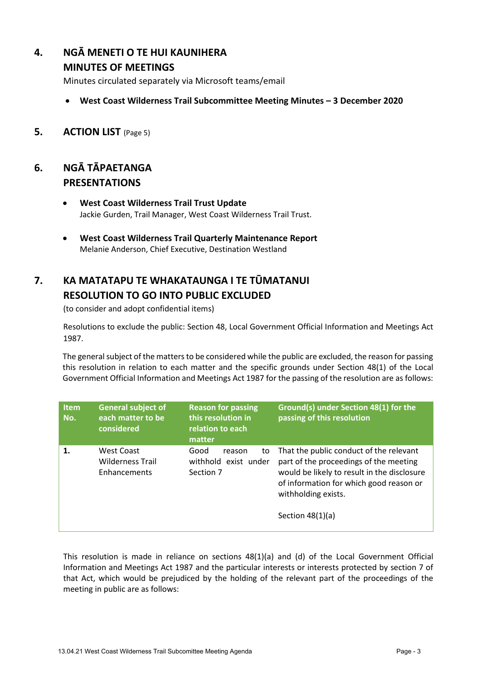### **4. NGĀ MENETI O TE HUI KAUNIHERA**

#### **MINUTES OF MEETINGS**

Minutes circulated separately via Microsoft teams/email

- **West Coast Wilderness Trail Subcommittee Meeting Minutes 3 December 2020**
- **5. ACTION LIST** (Page 5)

#### **6. NGĀ TĀPAETANGA PRESENTATIONS**

- **West Coast Wilderness Trail Trust Update**  Jackie Gurden, Trail Manager, West Coast Wilderness Trail Trust.
- **West Coast Wilderness Trail Quarterly Maintenance Report**  Melanie Anderson, Chief Executive, Destination Westland

## **7. KA MATATAPU TE WHAKATAUNGA I TE TŪMATANUI RESOLUTION TO GO INTO PUBLIC EXCLUDED**

(to consider and adopt confidential items)

Resolutions to exclude the public: Section 48, Local Government Official Information and Meetings Act 1987.

The general subject of the matters to be considered while the public are excluded, the reason for passing this resolution in relation to each matter and the specific grounds under Section 48(1) of the Local Government Official Information and Meetings Act 1987 for the passing of the resolution are as follows:

| <b>Item</b><br>No. | <b>General subject of</b><br>each matter to be<br>considered | <b>Reason for passing</b><br>this resolution in<br>relation to each<br>matter | Ground(s) under Section 48(1) for the<br>passing of this resolution                                                                                                                                                      |
|--------------------|--------------------------------------------------------------|-------------------------------------------------------------------------------|--------------------------------------------------------------------------------------------------------------------------------------------------------------------------------------------------------------------------|
|                    | <b>West Coast</b><br><b>Wilderness Trail</b><br>Enhancements | Good<br>to<br>reason<br>withhold exist under<br>Section 7                     | That the public conduct of the relevant<br>part of the proceedings of the meeting<br>would be likely to result in the disclosure<br>of information for which good reason or<br>withholding exists.<br>Section $48(1)(a)$ |

This resolution is made in reliance on sections 48(1)(a) and (d) of the Local Government Official Information and Meetings Act 1987 and the particular interests or interests protected by section 7 of that Act, which would be prejudiced by the holding of the relevant part of the proceedings of the meeting in public are as follows: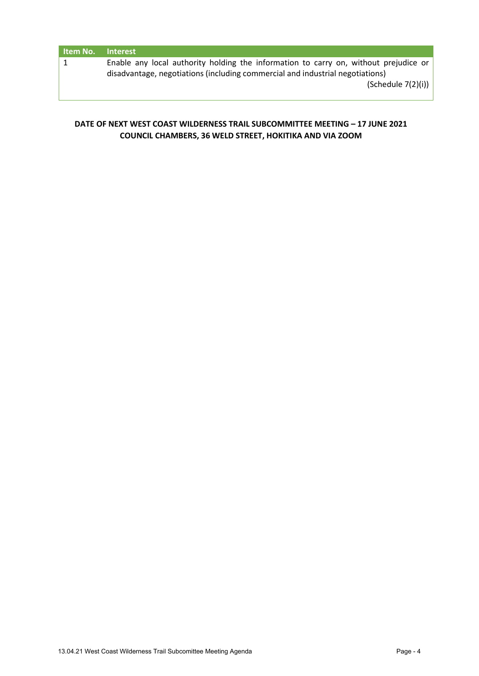| Item No. | <b>Interest</b>                                                                                                                                                       |
|----------|-----------------------------------------------------------------------------------------------------------------------------------------------------------------------|
|          | Enable any local authority holding the information to carry on, without prejudice or<br>disadvantage, negotiations (including commercial and industrial negotiations) |
|          | (Schedule 7(2)(i))                                                                                                                                                    |
|          |                                                                                                                                                                       |

#### **DATE OF NEXT WEST COAST WILDERNESS TRAIL SUBCOMMITTEE MEETING – 17 JUNE 2021 COUNCIL CHAMBERS, 36 WELD STREET, HOKITIKA AND VIA ZOOM**